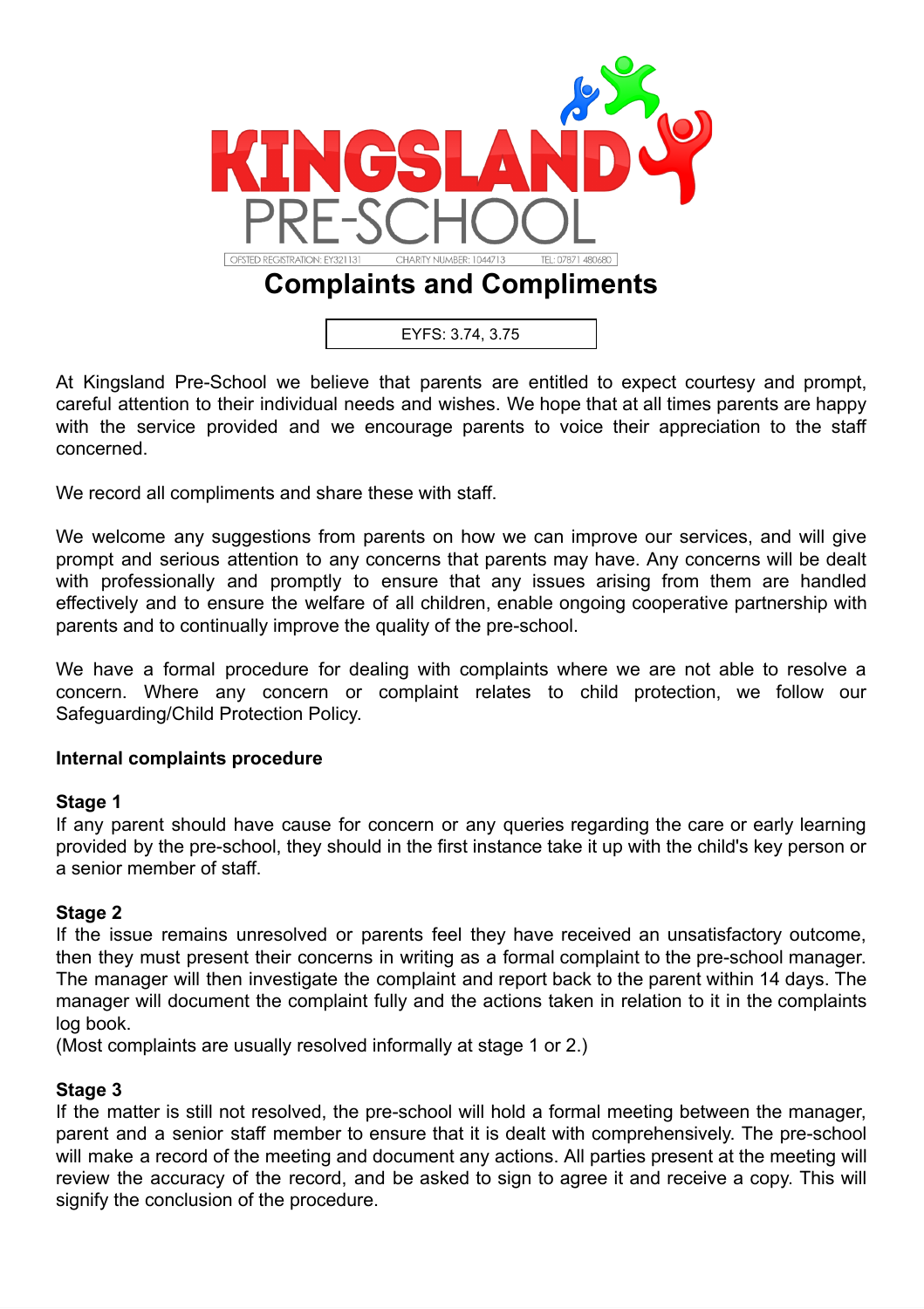

# **Complaints and Compliments**

EYFS: 3.74, 3.75

At Kingsland Pre-School we believe that parents are entitled to expect courtesy and prompt, careful attention to their individual needs and wishes. We hope that at all times parents are happy with the service provided and we encourage parents to voice their appreciation to the staff concerned.

We record all compliments and share these with staff.

We welcome any suggestions from parents on how we can improve our services, and will give prompt and serious attention to any concerns that parents may have. Any concerns will be dealt with professionally and promptly to ensure that any issues arising from them are handled effectively and to ensure the welfare of all children, enable ongoing cooperative partnership with parents and to continually improve the quality of the pre-school.

We have a formal procedure for dealing with complaints where we are not able to resolve a concern. Where any concern or complaint relates to child protection, we follow our Safeguarding/Child Protection Policy.

#### **Internal complaints procedure**

#### **Stage 1**

If any parent should have cause for concern or any queries regarding the care or early learning provided by the pre-school, they should in the first instance take it up with the child's key person or a senior member of staff.

#### **Stage 2**

If the issue remains unresolved or parents feel they have received an unsatisfactory outcome, then they must present their concerns in writing as a formal complaint to the pre-school manager. The manager will then investigate the complaint and report back to the parent within 14 days. The manager will document the complaint fully and the actions taken in relation to it in the complaints log book.

(Most complaints are usually resolved informally at stage 1 or 2.)

#### **Stage 3**

If the matter is still not resolved, the pre-school will hold a formal meeting between the manager, parent and a senior staff member to ensure that it is dealt with comprehensively. The pre-school will make a record of the meeting and document any actions. All parties present at the meeting will review the accuracy of the record, and be asked to sign to agree it and receive a copy. This will signify the conclusion of the procedure.